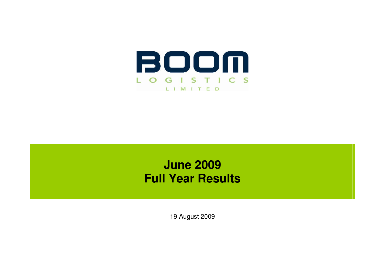

# **June 2009 Full Year Results**

19 August 2009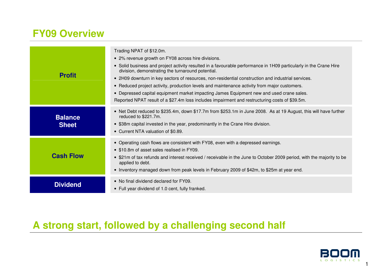# **FY09 Overview**

| <b>Profit</b>                  | Trading NPAT of \$12.0m.<br>• 2% revenue growth on FY08 across hire divisions.<br>• Solid business and project activity resulted in a favourable performance in 1H09 particularly in the Crane Hire<br>division, demonstrating the turnaround potential.<br>• 2H09 downturn in key sectors of resources, non-residential construction and industrial services.<br>• Reduced project activity, production levels and maintenance activity from major customers.<br>• Depressed capital equipment market impacting James Equipment new and used crane sales.<br>Reported NPAT result of a \$27.4m loss includes impairment and restructuring costs of \$39.5m. |
|--------------------------------|--------------------------------------------------------------------------------------------------------------------------------------------------------------------------------------------------------------------------------------------------------------------------------------------------------------------------------------------------------------------------------------------------------------------------------------------------------------------------------------------------------------------------------------------------------------------------------------------------------------------------------------------------------------|
| <b>Balance</b><br><b>Sheet</b> | • Net Debt reduced to \$235.4m, down \$17.7m from \$253.1m in June 2008. As at 19 August, this will have further<br>reduced to \$221.7m.<br>• \$38m capital invested in the year, predominantly in the Crane Hire division.<br>• Current NTA valuation of \$0.89.                                                                                                                                                                                                                                                                                                                                                                                            |
| <b>Cash Flow</b>               | • Operating cash flows are consistent with FY08, even with a depressed earnings.<br>• \$10.8m of asset sales realised in FY09.<br>• \$21m of tax refunds and interest received / receivable in the June to October 2009 period, with the majority to be<br>applied to debt.<br>• Inventory managed down from peak levels in February 2009 of \$42m, to \$25m at year end.                                                                                                                                                                                                                                                                                    |
| <b>Dividend</b>                | • No final dividend declared for FY09.<br>• Full year dividend of 1.0 cent, fully franked.                                                                                                                                                                                                                                                                                                                                                                                                                                                                                                                                                                   |

# **A strong start, followed by a challenging second half**



1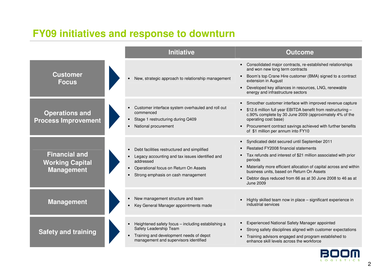# **FY09 initiatives and response to downturn**

|                                                                     | <b>Initiative</b>                                                                                                                                                                                                                 | <b>Outcome</b>                                                                                                                                                                                                                                                                                                                                                                     |
|---------------------------------------------------------------------|-----------------------------------------------------------------------------------------------------------------------------------------------------------------------------------------------------------------------------------|------------------------------------------------------------------------------------------------------------------------------------------------------------------------------------------------------------------------------------------------------------------------------------------------------------------------------------------------------------------------------------|
| <b>Customer</b><br><b>Focus</b>                                     | New, strategic approach to relationship management<br>$\bullet$                                                                                                                                                                   | Consolidated major contracts, re-established relationships<br>$\bullet$<br>and won new long term contracts<br>Boom's top Crane Hire customer (BMA) signed to a contract<br>extension in August<br>Developed key alliances in resources, LNG, renewable<br>energy and infrastructure sectors                                                                                        |
| <b>Operations and</b><br><b>Process Improvement</b>                 | Customer interface system overhauled and roll out<br>commenced<br>Stage 1 restructuring during Q409<br>$\bullet$<br>National procurement<br>$\bullet$                                                                             | Smoother customer interface with improved revenue capture<br>\$12.6 million full year EBITDA benefit from restructuring -<br>$\bullet$<br>c.90% complete by 30 June 2009 (approximately 4% of the<br>operating cost base)<br>Procurement contract savings achieved with further benefits<br>$\bullet$<br>of \$1 million per annum into FY10                                        |
| <b>Financial and</b><br><b>Working Capital</b><br><b>Management</b> | Debt facilities restructured and simplified<br>$\bullet$<br>Legacy accounting and tax issues identified and<br>addressed<br>Operational focus on Return On Assets<br>$\bullet$<br>Strong emphasis on cash management<br>$\bullet$ | Syndicated debt secured until September 2011<br>$\bullet$<br>Restated FY2008 financial statements<br>Tax refunds and interest of \$21 million associated with prior<br>periods<br>Materially more efficient allocation of capital across and within<br>business units, based on Return On Assets<br>Debtor days reduced from 66 as at 30 June 2008 to 46 as at<br><b>June 2009</b> |
| <b>Management</b>                                                   | New management structure and team<br>$\bullet$<br>Key General Manager appointments made<br>$\bullet$                                                                                                                              | Highly skilled team now in place - significant experience in<br>industrial services                                                                                                                                                                                                                                                                                                |
| <b>Safety and training</b>                                          | Heightened safety focus - including establishing a<br>Safety Leadership Team<br>Training and development needs of depot<br>$\bullet$<br>management and supervisors identified                                                     | Experienced National Safety Manager appointed<br>Strong safety disciplines aligned with customer expectations<br>Training advisors engaged and program established to<br>enhance skill levels across the workforce                                                                                                                                                                 |

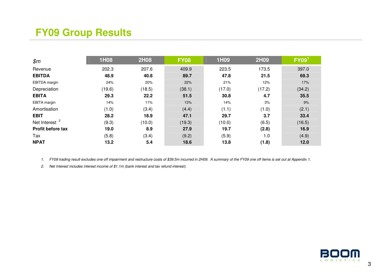# **FY09 Group Results**

| \$m\$                     | 1H08   | <b>2H08</b> | <b>FY08</b> | 1H09   | <b>2H09</b> | FY09 <sup>1</sup> |
|---------------------------|--------|-------------|-------------|--------|-------------|-------------------|
| Revenue                   | 202.3  | 207.6       | 409.9       | 223.5  | 173.5       | 397.0             |
| <b>EBITDA</b>             | 48.9   | 40.8        | 89.7        | 47.8   | 21.5        | 69.3              |
| EBITDA margin             | 24%    | 20%         | 22%         | 21%    | 12%         | 17%               |
| Depreciation              | (19.6) | (18.5)      | (38.1)      | (17.0) | (17.2)      | (34.2)            |
| <b>EBITA</b>              | 29.3   | 22.2        | 51.5        | 30.8   | 4.7         | 35.5              |
| EBITA margin              | 14%    | 11%         | 13%         | 14%    | 3%          | 9%                |
| Amortisation              | (1.0)  | (3.4)       | (4.4)       | (1.1)  | (1.0)       | (2.1)             |
| <b>EBIT</b>               | 28.2   | 18.9        | 47.1        | 29.7   | 3.7         | 33.4              |
| Net Interest <sup>2</sup> | (9.3)  | (10.0)      | (19.3)      | (10.0) | (6.5)       | (16.5)            |
| Profit before tax         | 19.0   | 8.9         | 27.9        | 19.7   | (2.8)       | 16.9              |
| Tax                       | (5.8)  | (3.4)       | (9.2)       | (5.9)  | 1.0         | (4.9)             |
| <b>NPAT</b>               | 13.2   | 5.4         | 18.6        | 13.8   | (1.8)       | 12.0              |

1. FY09 trading result excludes one off impairment and restructure costs of \$39.5m incurred in 2H09. A summary of the FY09 one off items is set out at Appendix 1.

2. Net Interest includes interest income of \$1.1m (bank interest and tax refund interest).

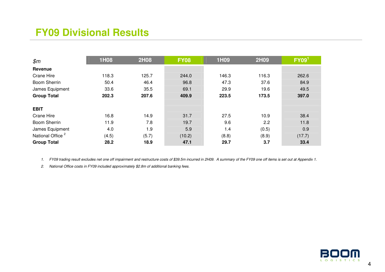# **FY09 Divisional Results**

| \$m\$                        | 1H08  | <b>2H08</b> | <b>FY08</b> | <b>1H09</b> | <b>2H09</b> | FY09 <sup>1</sup> |
|------------------------------|-------|-------------|-------------|-------------|-------------|-------------------|
| Revenue                      |       |             |             |             |             |                   |
| <b>Crane Hire</b>            | 118.3 | 125.7       | 244.0       | 146.3       | 116.3       | 262.6             |
| <b>Boom Sherrin</b>          | 50.4  | 46.4        | 96.8        | 47.3        | 37.6        | 84.9              |
| James Equipment              | 33.6  | 35.5        | 69.1        | 29.9        | 19.6        | 49.5              |
| <b>Group Total</b>           | 202.3 | 207.6       | 409.9       | 223.5       | 173.5       | 397.0             |
|                              |       |             |             |             |             |                   |
| <b>EBIT</b>                  |       |             |             |             |             |                   |
| <b>Crane Hire</b>            | 16.8  | 14.9        | 31.7        | 27.5        | 10.9        | 38.4              |
| <b>Boom Sherrin</b>          | 11.9  | 7.8         | 19.7        | 9.6         | 2.2         | 11.8              |
| James Equipment              | 4.0   | 1.9         | 5.9         | 1.4         | (0.5)       | 0.9               |
| National Office <sup>2</sup> | (4.5) | (5.7)       | (10.2)      | (8.8)       | (8.9)       | (17.7)            |
| <b>Group Total</b>           | 28.2  | 18.9        | 47.1        | 29.7        | 3.7         | 33.4              |

1. FY09 trading result excludes net one off impairment and restructure costs of \$39.5m incurred in 2H09. A summary of the FY09 one off items is set out at Appendix 1.

2. National Office costs in FY09 included approximately \$2.8m of additional banking fees.

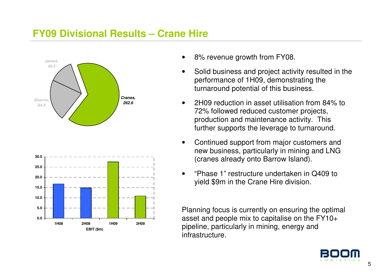### **FY09 Divisional Results – Crane Hire**





- 8% revenue growth from FY08.
- Solid business and project activity resulted in the performance of 1H09, demonstrating the turnaround potential of this business.
- 2H09 reduction in asset utilisation from 84% to 72% followed reduced customer projects, production and maintenance activity. This further supports the leverage to turnaround.
- Continued support from major customers and new business, particularly in mining and LNG (cranes already onto Barrow Island).
- • "Phase 1" restructure undertaken in Q409 to yield \$9m in the Crane Hire division.

Planning focus is currently on ensuring the optimalasset and people mix to capitalise on the FY10+ pipeline, particularly in mining, energy and infrastructure.

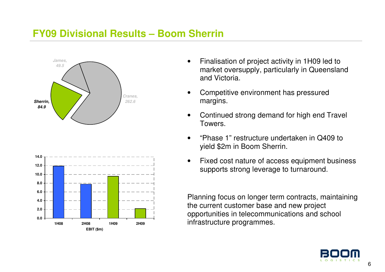### **FY09 Divisional Results – Boom Sherrin**





- Finalisation of project activity in 1H09 led to market oversupply, particularly in Queensland and Victoria.
- Competitive environment has pressured margins.
- Continued strong demand for high end Travel Towers.
- • "Phase 1" restructure undertaken in Q409 to yield \$2m in Boom Sherrin.
- Fixed cost nature of access equipment business supports strong leverage to turnaround.

Planning focus on longer term contracts, maintaining the current customer base and new project opportunities in telecommunications and school infrastructure programmes.

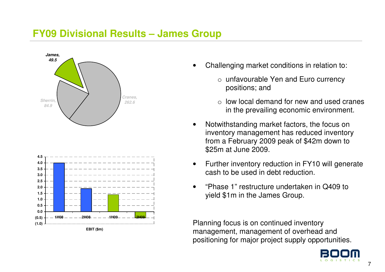#### **FY09 Divisional Results – James Group**





- Challenging market conditions in relation to:
	- o unfavourable Yen and Euro currency positions; and
	- $\circ$  low local demand for new and used cranes in the prevailing economic environment.
- Notwithstanding market factors, the focus on inventory management has reduced inventory from a February 2009 peak of \$42m down to \$25m at June 2009.
- Further inventory reduction in FY10 will generate cash to be used in debt reduction.
- • "Phase 1" restructure undertaken in Q409 to yield \$1m in the James Group.

Planning focus is on continued inventory management, management of overhead and positioning for major project supply opportunities.

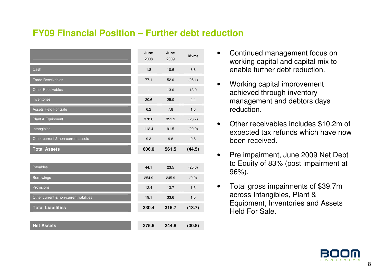#### **FY09 Financial Position – Further debt reduction**

|                                         | June<br>2008             | June<br>2009 | <b>M</b> vmt |
|-----------------------------------------|--------------------------|--------------|--------------|
| Cash                                    | 1.8                      | 10.6         | 8.8          |
| <b>Trade Receivables</b>                | 77.1                     | 52.0         | (25.1)       |
| <b>Other Receivables</b>                | $\overline{\phantom{a}}$ | 13.0         | 13.0         |
| Inventories                             | 20.6                     | 25.0         | 4.4          |
| <b>Assets Held For Sale</b>             | 6.2                      | 7.8          | 1.6          |
| Plant & Equipment                       | 378.6                    | 351.9        | (26.7)       |
| Intangibles                             | 112.4                    | 91.5         | (20.9)       |
| Other current & non-current assets      | 9.3                      | 9.8          | 0.5          |
| <b>Total Assets</b>                     | 606.0                    | 561.5        | (44.5)       |
|                                         |                          |              |              |
| Payables                                | 44.1                     | 23.5         | (20.6)       |
| Borrowings                              | 254.9                    | 245.9        | (9.0)        |
| Provisions                              | 12.4                     | 13.7         | 1.3          |
| Other current & non-current liabilities | 19.1                     | 33.6         | 1.5          |
| <b>Total Liabilities</b>                | 330.4                    | 316.7        | (13.7)       |
|                                         |                          |              |              |
| <b>Net Assets</b>                       | 275.6                    | 244.8        | (30.8)       |

- Continued management focus on working capital and capital mix to enable further debt reduction.
- Working capital improvement achieved through inventory management and debtors days reduction.
- Other receivables includes \$10.2m of expected tax refunds which have now been received.
- Pre impairment, June 2009 Net Debt to Equity of 83% (post impairment at 96%).
- Total gross impairments of \$39.7m across Intangibles, Plant & Equipment, Inventories and Assets Held For Sale.

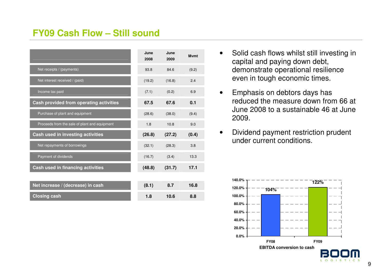#### **FY09 Cash Flow – Still sound**

|                                               | June<br>2008 | June<br>2009 | <b>M</b> vmt |
|-----------------------------------------------|--------------|--------------|--------------|
| Net receipts / (payments)                     | 93.8         | 84.6         | (9.2)        |
| Net interest received / (paid)                | (19.2)       | (16.8)       | 2.4          |
| Income tax paid                               | (7.1)        | (0.2)        | 6.9          |
| Cash provided from operating activities       | 67.5         | 67.6         | 0.1          |
| Purchase of plant and equipment               | (28.6)       | (38.0)       | (9.4)        |
| Proceeds from the sale of plant and equipment | 1.8          | 10.8         | 9.0          |
| Cash used in investing activities             | (26.8)       | (27.2)       | (0.4)        |
| Net repayments of borrowings                  | (32.1)       | (28.3)       | 3.8          |
| Payment of dividends                          | (16.7)       | (3.4)        | 13.3         |
| Cash used in financing activities             | (48.8)       | (31.7)       | 17.1         |
|                                               |              |              |              |
| Net increase / (decrease) in cash             | (8.1)        | 8.7          | 16.8         |
| <b>Closing cash</b>                           | 1.8          | 10.6         | 8.8          |

- Solid cash flows whilst still investing in capital and paying down debt, demonstrate operational resilience even in tough economic times.
- Emphasis on debtors days has reduced the measure down from 66 at June 2008 to a sustainable 46 at June 2009.
- Dividend payment restriction prudent under current conditions.



-S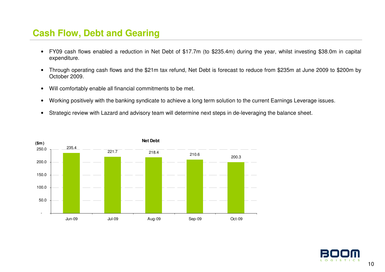#### **Cash Flow, Debt and Gearing**

- FY09 cash flows enabled a reduction in Net Debt of \$17.7m (to \$235.4m) during the year, whilst investing \$38.0m in capital expenditure.
- Through operating cash flows and the \$21m tax refund, Net Debt is forecast to reduce from \$235m at June 2009 to \$200m by October 2009.
- Will comfortably enable all financial commitments to be met.
- Working positively with the banking syndicate to achieve a long term solution to the current Earnings Leverage issues.
- Strategic review with Lazard and advisory team will determine next steps in de-leveraging the balance sheet.



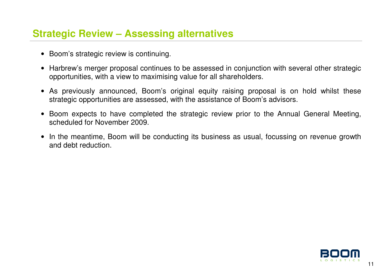### **Strategic Review – Assessing alternatives**

- Boom's strategic review is continuing.
- Harbrew's merger proposal continues to be assessed in conjunction with several other strategic opportunities, with a view to maximising value for all shareholders.
- As previously announced, Boom's original equity raising proposal is on hold whilst these strategic opportunities are assessed, with the assistance of Boom's advisors.
- Boom expects to have completed the strategic review prior to the Annual General Meeting, scheduled for November 2009.
- In the meantime, Boom will be conducting its business as usual, focussing on revenue growth and debt reduction.

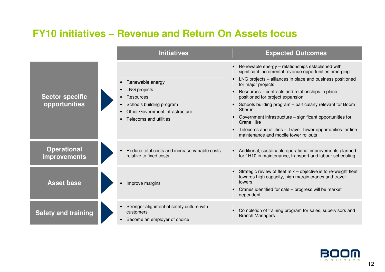### **FY10 initiatives – Revenue and Return On Assets focus**



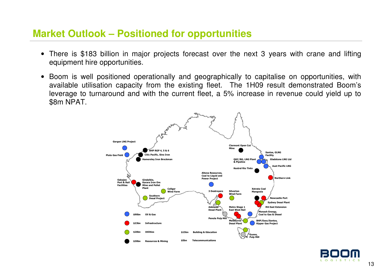#### **Market Outlook – Positioned for opportunities**

- There is \$183 billion in major projects forecast over the next 3 years with crane and lifting equipment hire opportunities.
- Boom is well positioned operationally and geographically to capitalise on opportunities, with available utilisation capacity from the existing fleet. The 1H09 result demonstrated Boom's leverage to turnaround and with the current fleet, a 5% increase in revenue could yield up to \$8m NPAT.



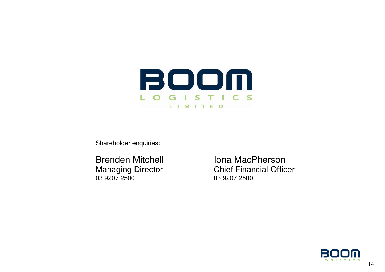

Shareholder enquiries:

03 9207 2500 03 9207 2500

Brenden Mitchell **Iona MacPherson** Managing Director Chief Financial Officer